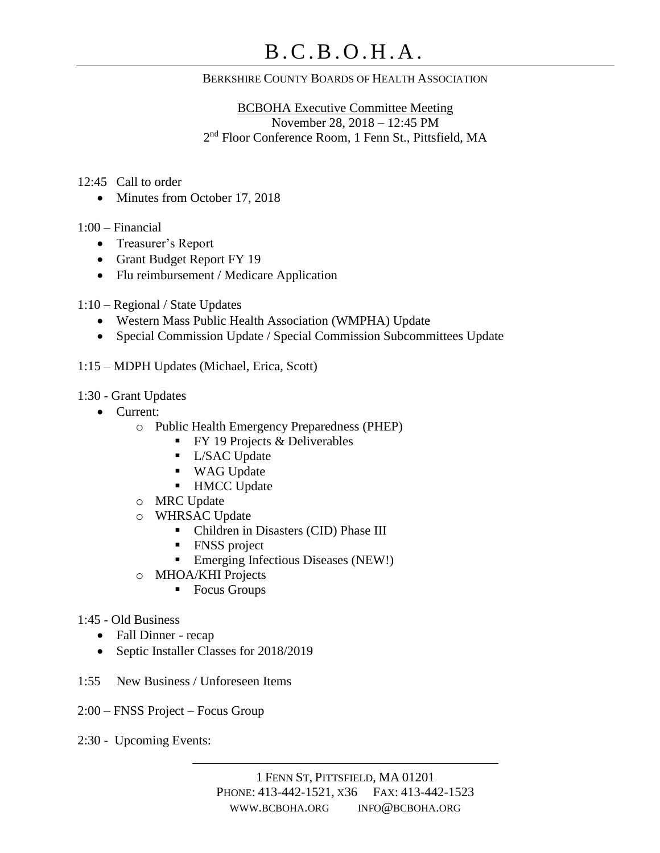## BERKSHIRE COUNTY BOARDS OF HEALTH ASSOCIATION

BCBOHA Executive Committee Meeting November 28, 2018 – 12:45 PM 2 nd Floor Conference Room, 1 Fenn St., Pittsfield, MA

12:45 Call to order

• Minutes from October 17, 2018

1:00 – Financial

- Treasurer's Report
- Grant Budget Report FY 19
- Flu reimbursement / Medicare Application
- 1:10 Regional / State Updates
	- Western Mass Public Health Association (WMPHA) Update
	- Special Commission Update / Special Commission Subcommittees Update

1:15 – MDPH Updates (Michael, Erica, Scott)

1:30 - Grant Updates

- Current:
	- o Public Health Emergency Preparedness (PHEP)
		- $\blacksquare$  FY 19 Projects & Deliverables
		- **·** L/SAC Update
		- WAG Update
		- HMCC Update
	- o MRC Update
	- o WHRSAC Update
		- Children in Disasters (CID) Phase III
		- FNSS project
		- Emerging Infectious Diseases (NEW!)
	- o MHOA/KHI Projects
		- Focus Groups

## 1:45 - Old Business

- Fall Dinner recap
- Septic Installer Classes for 2018/2019
- 1:55 New Business / Unforeseen Items
- 2:00 FNSS Project Focus Group
- 2:30 Upcoming Events: